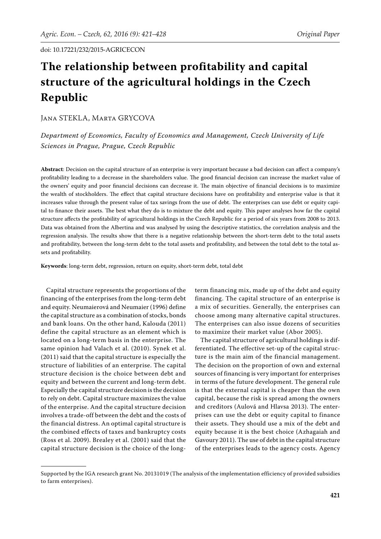# **The relationship between profitability and capital structure of the agricultural holdings in the Czech Republic**

Jana STEKLA, Marta GRYCOVA

*Department of Economics, Faculty of Economics and Management, Czech University of Life Sciences in Prague, Prague, Czech Republic*

Abstract: Decision on the capital structure of an enterprise is very important because a bad decision can affect a company's profitability leading to a decrease in the shareholders value. The good financial decision can increase the market value of the owners' equity and poor financial decisions can decrease it. The main objective of financial decisions is to maximize the wealth of stockholders. The effect that capital structure decisions have on profitability and enterprise value is that it increases value through the present value of tax savings from the use of debt. The enterprises can use debt or equity capital to finance their assets. The best what they do is to mixture the debt and equity. This paper analyses how far the capital structure affects the profitability of agricultural holdings in the Czech Republic for a period of six years from 2008 to 2013. Data was obtained from the Albertina and was analysed by using the descriptive statistics, the correlation analysis and the regression analysis. The results show that there is a negative relationship between the short-term debt to the total assets and profitability, between the long-term debt to the total assets and profitability, and between the total debt to the total assets and profitability.

**Keywords**: long-term debt, regression, return on equity, short-term debt, total debt

Capital structure represents the proportions of the financing of the enterprises from the long-term debt and equity. Neumaierová and Neumaier (1996) define the capital structure as a combination of stocks, bonds and bank loans. On the other hand, Kalouda (2011) define the capital structure as an element which is located on a long-term basis in the enterprise. The same opinion had Valach et al. (2010). Synek et al. (2011) said that the capital structure is especially the structure of liabilities of an enterprise. The capital structure decision is the choice between debt and equity and between the current and long-term debt. Especially the capital structure decision is the decision to rely on debt. Capital structure maximizes the value of the enterprise. And the capital structure decision involves a trade-off between the debt and the costs of the financial distress. An optimal capital structure is the combined effects of taxes and bankruptcy costs (Ross et al. 2009). Brealey et al. (2001) said that the capital structure decision is the choice of the long-

term financing mix, made up of the debt and equity financing. The capital structure of an enterprise is a mix of securities. Generally, the enterprises can choose among many alternative capital structures. The enterprises can also issue dozens of securities to maximize their market value (Abor 2005).

The capital structure of agricultural holdings is differentiated. The effective set-up of the capital structure is the main aim of the financial management. The decision on the proportion of own and external sources of financing is very important for enterprises in terms of the future development. The general rule is that the external capital is cheaper than the own capital, because the risk is spread among the owners and creditors (Aulová and Hlavsa 2013). The enterprises can use the debt or equity capital to finance their assets. They should use a mix of the debt and equity because it is the best choice (Azhagaiah and Gavoury 2011). The use of debt in the capital structure of the enterprises leads to the agency costs. Agency

Supported by the IGA research grant No. 20131019 (The analysis of the implementation efficiency of provided subsidies to farm enterprises).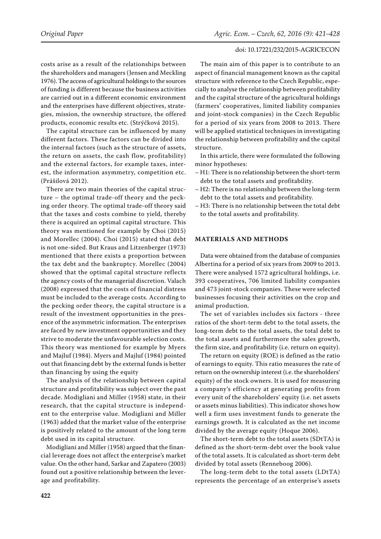costs arise as a result of the relationships between the shareholders and managers (Jensen and Meckling 1976). The access of agricultural holdings to the sources of funding is different because the business activities are carried out in a different economic environment and the enterprises have different objectives, strategies, mission, the ownership structure, the offered products, economic results etc. (Strýčková 2015).

The capital structure can be influenced by many different factors. These factors can be divided into the internal factors (such as the structure of assets, the return on assets, the cash flow, profitability) and the external factors, for example taxes, interest, the information asymmetry, competition etc. (Prášilová 2012).

There are two main theories of the capital structure – the optimal trade-off theory and the pecking order theory. The optimal trade-off theory said that the taxes and costs combine to yield, thereby there is acquired an optimal capital structure. This theory was mentioned for example by Choi (2015) and Morellec (2004). Choi (2015) stated that debt is not one-sided. But Kraus and Litzenberger (1973) mentioned that there exists a proportion between the tax debt and the bankruptcy. Morellec (2004) showed that the optimal capital structure reflects the agency costs of the managerial discretion. Valach (2008) expressed that the costs of financial distress must be included to the average costs. According to the pecking order theory, the capital structure is a result of the investment opportunities in the presence of the asymmetric information. The enterprises are faced by new investment opportunities and they strive to moderate the unfavourable selection costs. This theory was mentioned for example by Myers and Majluf (1984). Myers and Majluf (1984) pointed out that financing debt by the external funds is better than financing by using the equity

The analysis of the relationship between capital structure and profitability was subject over the past decade. Modigliani and Miller (1958) state, in their research, that the capital structure is independent to the enterprise value. Modigliani and Miller (1963) added that the market value of the enterprise is positively related to the amount of the long term debt used in its capital structure.

Modigliani and Miller (1958) argued that the financial leverage does not affect the enterprise's market value. On the other hand, Sarkar and Zapatero (2003) found out a positive relationship between the leverage and profitability.

The main aim of this paper is to contribute to an aspect of financial management known as the capital structure with reference to the Czech Republic, especially to analyse the relationship between profitability and the capital structure of the agricultural holdings (farmers' cooperatives, limited liability companies and joint-stock companies) in the Czech Republic for a period of six years from 2008 to 2013. There will be applied statistical techniques in investigating the relationship between profitability and the capital structure.

In this article, there were formulated the following minor hypotheses:

- H1: There is no relationship between the short-term debt to the total assets and profitability.
- H2: There is no relationship between the long-term debt to the total assets and profitability.
- H3: There is no relationship between the total debt to the total assets and profitability.

#### **MATERIALS AND METHODS**

Data were obtained from the database of companies Albertina for a period of six years from 2009 to 2013. There were analysed 1572 agricultural holdings, i.e. 393 cooperatives, 706 limited liability companies and 473 joint-stock companies. These were selected businesses focusing their activities on the crop and animal production.

The set of variables includes six factors - three ratios of the short-term debt to the total assets, the long-term debt to the total assets, the total debt to the total assets and furthermore the sales growth, the firm size, and profitability (i.e. return on equity).

The return on equity (ROE) is defined as the ratio of earnings to equity. This ratio measures the rate of return on the ownership interest (i.e. the shareholders' equity) of the stock owners. It is used for measuring a company's efficiency at generating profits from every unit of the shareholders' equity (i.e. net assets or assets minus liabilities). This indicator shows how well a firm uses investment funds to generate the earnings growth. It is calculated as the net income divided by the average equity (Hoque 2006).

The short-term debt to the total assets (SDtTA) is defined as the short-term-debt over the book value of the total assets. It is calculated as short-term debt divided by total assets (Renneboog 2006).

The long-term debt to the total assets (LDtTA) represents the percentage of an enterprise's assets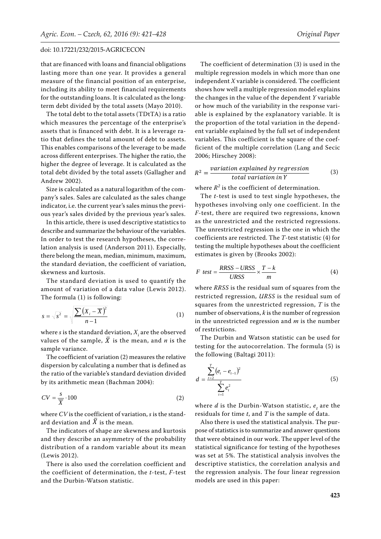that are financed with loans and financial obligations lasting more than one year. It provides a general measure of the financial position of an enterprise, including its ability to meet financial requirements for the outstanding loans. It is calculated as the longterm debt divided by the total assets (Mayo 2010).

The total debt to the total assets (TDtTA) is a ratio which measures the percentage of the enterprise's assets that is financed with debt. It is a leverage ratio that defines the total amount of debt to assets. This enables comparisons of the leverage to be made across different enterprises. The higher the ratio, the higher the degree of leverage. It is calculated as the total debt divided by the total assets (Gallagher and Andrew 2002).

Size is calculated as a natural logarithm of the company's sales. Sales are calculated as the sales change indicator, i.e. the current year's sales minus the previous year's sales divided by the previous year's sales.

In this article, there is used descriptive statistics to describe and summarize the behaviour of the variables. In order to test the research hypotheses, the correlation analysis is used (Anderson 2011). Especially, there belong the mean, median, minimum, maximum, the standard deviation, the coefficient of variation, skewness and kurtosis.

The standard deviation is used to quantify the amount of variation of a data value (Lewis 2012). The formula (1) is following:

$$
s = \sqrt{s^2} = \sqrt{\frac{\sum (X_i - \overline{X})^2}{n - 1}} \tag{1}
$$

where  $s$  is the standard deviation,  $X_i$  are the observed values of the sample,  $\overline{X}$  is the mean, and *n* is the sample variance.

The coefficient of variation (2) measures the relative dispersion by calculating a number that is defined as the ratio of the variable's standard deviation divided by its arithmetic mean (Bachman 2004):

$$
CV = \frac{s}{\overline{X}} \cdot 100\tag{2}
$$

where *CV* is the coefficient of variation, *s* is the standard deviation and  $\bar{X}$  is the mean.

The indicators of shape are skewness and kurtosis and they describe an asymmetry of the probability distribution of a random variable about its mean (Lewis 2012).

There is also used the correlation coefficient and the coefficient of determination, the *t*-test, *F*-test and the Durbin-Watson statistic.

The coefficient of determination (3) is used in the multiple regression models in which more than one independent *X* variable is considered. The coefficient shows how well a multiple regression model explains the changes in the value of the dependent *Y* variable or how much of the variability in the response variable is explained by the explanatory variable. It is the proportion of the total variation in the dependent variable explained by the full set of independent variables. This coefficient is the square of the coefficient of the multiple correlation (Lang and Secic 2006; Hirschey 2008):

$$
R^{2} = \frac{variation \ explained \ by \ regression}{total \ variation \ in \ Y}
$$
 (3)

where  $R^2$  is the coefficient of determination.

The *t*-test is used to test single hypotheses, the hypotheses involving only one coefficient. In the *F*-test, there are required two regressions, known as the unrestricted and the restricted regressions. The unrestricted regression is the one in which the coefficients are restricted. The *T*-test statistic (4) for testing the multiple hypotheses about the coefficient estimates is given by (Brooks 2002):

$$
F \text{ test} = \frac{RRSS - URSS}{URSS} \times \frac{T - k}{m} \tag{4}
$$

where *RRSS* is the residual sum of squares from the restricted regression, *URSS* is the residual sum of squares from the unrestricted regression, *T* is the number of observations, *k* is the number of regression in the unrestricted regression and *m* is the number of restrictions.

The Durbin and Watson statistic can be used for testing for the autocorrelation. The formula (5) is the following (Baltagi 2011):

$$
d = \frac{\sum_{t=2}^{T} (e_t - e_{t-1})^2}{\sum_{t=1}^{T} e_t^2}
$$
 (5)

where  $d$  is the Durbin-Watson statistic,  $e_{_t}$  are the residuals for time *t*, and *T* is the sample of data.

Also there is used the statistical analysis. The purpose of statistics is to summarize and answer questions that were obtained in our work. The upper level of the statistical significance for testing of the hypotheses was set at 5%. The statistical analysis involves the descriptive statistics, the correlation analysis and the regression analysis. The four linear regression models are used in this paper: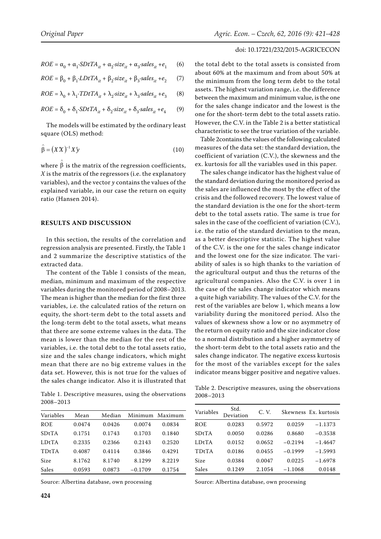$$
ROE = \alpha_0 + \alpha_1 \cdot SDtTA_{it} + \alpha_2 \cdot size_{it} + \alpha_3 \cdot sales_{it} + e_1 \tag{6}
$$

$$
ROE = \beta_0 + \beta_1 \cdot LDtTA_{it} + \beta_2 \cdot size_{it} + \beta_3 \cdot sales_{it} + e_2 \tag{7}
$$

$$
ROE = \lambda_0 + \lambda_1 \cdot TDtTA_{it} + \lambda_2 \cdot size_{it} + \lambda_3 \cdot sales_{it} + e_3 \tag{8}
$$

$$
ROE = \delta_0 + \delta_1 \cdot SDtTA_{it} + \delta_2 \cdot size_{it} + \delta_3 \cdot sales_{it} + e_4 \tag{9}
$$

The models will be estimated by the ordinary least square (OLS) method:

$$
\hat{\beta} = (XX)^{-1}X\mathcal{Y} \tag{10}
$$

where  $\hat{\stackrel{\circ}{\text{p}}}$  is the matrix of the regression coefficients, *X* is the matrix of the regressors (i.e. the explanatory variables), and the vector *y* contains the values of the explained variable, in our case the return on equity ratio (Hansen 2014).

# **RESULTS AND DISCUSSION**

In this section, the results of the correlation and regression analysis are presented. Firstly, the Table 1 and 2 summarize the descriptive statistics of the extracted data.

The content of the Table 1 consists of the mean, median, minimum and maximum of the respective variables during the monitored period of 2008–2013. The mean is higher than the median for the first three variables, i.e. the calculated ratios of the return on equity, the short-term debt to the total assets and the long-term debt to the total assets, what means that there are some extreme values in the data. The mean is lower than the median for the rest of the variables, i.e. the total debt to the total assets ratio, size and the sales change indicators, which might mean that there are no big extreme values in the data set. However, this is not true for the values of the sales change indicator. Also it is illustrated that

Table 1. Descriptive measures, using the observations 2008–2013

| Variables    | Mean   | Median |           | Minimum Maximum |
|--------------|--------|--------|-----------|-----------------|
| <b>ROE</b>   | 0.0474 | 0.0426 | 0.0074    | 0.0834          |
| <b>SDtTA</b> | 0.1751 | 0.1743 | 0.1703    | 0.1840          |
| <b>LDtTA</b> | 0.2335 | 0.2366 | 0.2143    | 0.2520          |
| <b>TDtTA</b> | 0.4087 | 0.4114 | 0.3846    | 0.4291          |
| <b>Size</b>  | 8.1762 | 8.1740 | 8.1299    | 8.2219          |
| Sales        | 0.0593 | 0.0873 | $-0.1709$ | 0.1754          |

Source: Albertina database, own processing

the total debt to the total assets is consisted from about 60% at the maximum and from about 50% at the minimum from the long term debt to the total assets. The highest variation range, i.e. the difference between the maximum and minimum value, is the one for the sales change indicator and the lowest is the one for the short-term debt to the total assets ratio. However, the C.V. in the Table 2 is a better statistical characteristic to see the true variation of the variable.

Table 2contains the values of the following calculated measures of the data set: the standard deviation, the coefficient of variation (C.V.), the skewness and the ex. kurtosis for all the variables used in this paper.

The sales change indicator has the highest value of the standard deviation during the monitored period as the sales are influenced the most by the effect of the crisis and the followed recovery. The lowest value of the standard deviation is the one for the short-term debt to the total assets ratio. The same is true for sales in the case of the coefficient of variation (C.V.), i.e. the ratio of the standard deviation to the mean, as a better descriptive statistic. The highest value of the C.V. is the one for the sales change indicator and the lowest one for the size indicator. The variability of sales is so high thanks to the variation of the agricultural output and thus the returns of the agricultural companies. Also the C.V. is over 1 in the case of the sales change indicator which means a quite high variability. The values of the C.V. for the rest of the variables are below 1, which means a low variability during the monitored period. Also the values of skewness show a low or no asymmetry of the return on equity ratio and the size indicator close to a normal distribution and a higher asymmetry of the short-term debt to the total assets ratio and the sales change indicator. The negative excess kurtosis for the most of the variables except for the sales indicator means bigger positive and negative values.

Table 2. Descriptive measures, using the observations 2008–2013

| Variables    | Std.<br>Deviation | C. V.  |           | Skewness Ex. kurtosis |
|--------------|-------------------|--------|-----------|-----------------------|
| <b>ROE</b>   | 0.0283            | 0.5972 | 0.0259    | $-1.1373$             |
| <b>SDtTA</b> | 0.0050            | 0.0286 | 0.8680    | $-0.3538$             |
| <b>LDtTA</b> | 0.0152            | 0.0652 | $-0.2194$ | $-1.4647$             |
| <b>TDtTA</b> | 0.0186            | 0.0455 | $-0.1999$ | $-1.5993$             |
| Size         | 0.0384            | 0.0047 | 0.0225    | $-1.6978$             |
| Sales        | 0.1249            | 2.1054 | $-1.1068$ | 0.0148                |

Source: Albertina database, own processing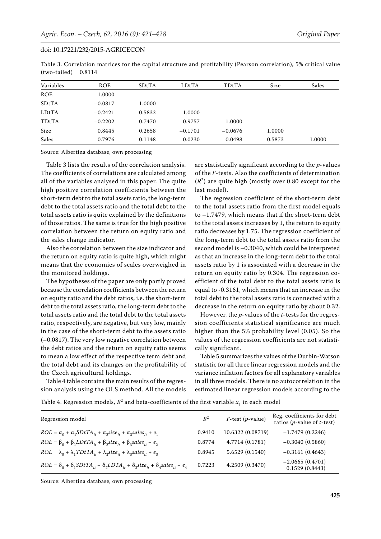| Variables  | <b>ROE</b> | SDtTA  | LDtTA     | <b>TDtTA</b> | Size   | Sales  |
|------------|------------|--------|-----------|--------------|--------|--------|
| <b>ROE</b> | 1.0000     |        |           |              |        |        |
| SDtTA      | $-0.0817$  | 1.0000 |           |              |        |        |
| LDtTA      | $-0.2421$  | 0.5832 | 1.0000    |              |        |        |
| TDtTA      | $-0.2202$  | 0.7470 | 0.9757    | 1.0000       |        |        |
| Size       | 0.8445     | 0.2658 | $-0.1701$ | $-0.0676$    | 1.0000 |        |
| Sales      | 0.7976     | 0.1148 | 0.0230    | 0.0498       | 0.5873 | 1.0000 |

Table 3. Correlation matrices for the capital structure and profitability (Pearson correlation), 5% critical value  $(two-tailed) = 0.8114$ 

Source: Albertina database, own processing

Table 3 lists the results of the correlation analysis. The coefficients of correlations are calculated among all of the variables analysed in this paper. The quite high positive correlation coefficients between the short-term debt to the total assets ratio, the long-term debt to the total assets ratio and the total debt to the total assets ratio is quite explained by the definitions of those ratios. The same is true for the high positive correlation between the return on equity ratio and the sales change indicator.

Also the correlation between the size indicator and the return on equity ratio is quite high, which might means that the economies of scales overweighed in the monitored holdings.

The hypotheses of the paper are only partly proved because the correlation coefficients between the return on equity ratio and the debt ratios, i.e. the short-term debt to the total assets ratio, the long-term debt to the total assets ratio and the total debt to the total assets ratio, respectively, are negative, but very low, mainly in the case of the short-term debt to the assets ratio (–0.0817). The very low negative correlation between the debt ratios and the return on equity ratio seems to mean a low effect of the respective term debt and the total debt and its changes on the profitability of the Czech agricultural holdings.

Table 4 table contains the main results of the regression analysis using the OLS method. All the models are statistically significant according to the *p*-values of the *F*-tests. Also the coefficients of determination  $(R<sup>2</sup>)$  are quite high (mostly over 0.80 except for the last model).

The regression coefficient of the short-term debt to the total assets ratio from the first model equals to –1.7479, which means that if the short-term debt to the total assets increases by 1, the return to equity ratio decreases by 1.75. The regression coefficient of the long-term debt to the total assets ratio from the second model is –0.3040, which could be interpreted as that an increase in the long-term debt to the total assets ratio by 1 is associated with a decrease in the return on equity ratio by 0.304. The regression coefficient of the total debt to the total assets ratio is equal to -0.3161, which means that an increase in the total debt to the total assets ratio is connected with a decrease in the return on equity ratio by about 0.32.

However, the *p*-values of the *t*-tests for the regression coefficients statistical significance are much higher than the 5% probability level (0.05). So the values of the regression coefficients are not statistically significant.

Table 5 summarizes the values of the Durbin-Watson statistic for all three linear regression models and the variance inflation factors for all explanatory variables in all three models. There is no autocorrelation in the estimated linear regression models according to the

Table 4. Regression models,  $R^2$  and beta-coefficients of the first variable  $x^1_{1}$  in each model

| Regression model                                                                                             | $R^2$  | $F$ -test (p-value) | Reg. coefficients for debt<br>ratios ( <i>p</i> -value of <i>t</i> -test) |
|--------------------------------------------------------------------------------------------------------------|--------|---------------------|---------------------------------------------------------------------------|
| $ROE = \alpha_0 + \alpha_1 SDtTA_{it} + \alpha_2 size_{it} + \alpha_3 sales_{it} + e_1$                      | 0.9410 | 10.6322 (0.08719)   | $-1.7479(0.2246)$                                                         |
| $ROE = \beta_0 + \beta_1 LDLTA_{it} + \beta_2 size_{it} + \beta_3 sales_{it} + e_2$                          | 0.8774 | 4.7714 (0.1781)     | $-0.3040(0.5860)$                                                         |
| $ROE = \lambda_0 + \lambda_1 T D t T A_{it} + \lambda_2 size_{it} + \lambda_3 sales_{it} + e_3$              | 0.8945 | 5.6529 (0.1540)     | $-0.3161(0.4643)$                                                         |
| $ROE = \delta_0 + \delta_1 SDtTA_{it} + \delta_2 LDTA_{it} + \delta_3 size_{it} + \delta_4 sales_{it} + e_4$ | 0.7223 | 4.2509 (0.3470)     | $-2.0665(0.4701)$<br>0.1529(0.8443)                                       |

Source: Albertina database, own processing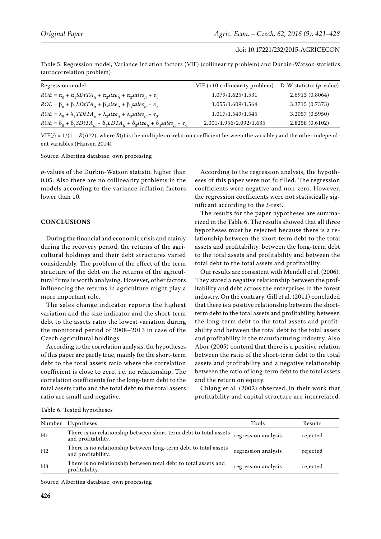Table 5. Regression model, Variance Inflation factors (VIF) (collinearity problem) and Durbin-Watson statistics (autocorrelation problem)

| Regression model                                                                                             | $VIF$ (>10 collinearity problem) | D-W statistic $(p$ -value) |
|--------------------------------------------------------------------------------------------------------------|----------------------------------|----------------------------|
| $ROE = \alpha_0 + \alpha_1 SDtTA_{it} + \alpha_2 size_{it} + \alpha_3 sales_{it} + e_1$                      | 1.079/1.625/1.531                | 2.6913 (0.8064)            |
| $ROE = \beta_0 + \beta_1 LDLTA_{it} + \beta_2 size_{it} + \beta_3 sales_{it} + e_2$                          | 1.055/1.609/1.564                | 3.3715 (0.7373)            |
| $ROE = \lambda_0 + \lambda_1 T D t T A_{it} + \lambda_2 size_{it} + \lambda_3 sales_{it} + e_3$              | 1.017/1.549/1.545                | 3.2057 (0.5950)            |
| $ROE = \delta_0 + \delta_1 SDtTA_{it} + \delta_2 LDTA_{it} + \delta_3 size_{it} + \delta_4 sales_{it} + e_4$ | 2.001/1.956/2.092/1.635          | 2.8258 (0.6102)            |

 $VIF(j) = 1/(1 - R(j)^{2})$ , where  $R(j)$  is the multiple correlation coefficient between the variable *j* and the other independent variables (Hansen 2014)

Source: Albertina database, own processing

*p*-values of the Durbin-Watson statistic higher than 0.05. Also there are no collinearity problems in the models according to the variance inflation factors lower than 10.

## **CONCLUSIONS**

During the financial and economic crisis and mainly during the recovery period, the returns of the agricultural holdings and their debt structures varied considerably. The problem of the effect of the term structure of the debt on the returns of the agricultural firms is worth analysing. However, other factors influencing the returns in agriculture might play a more important role.

The sales change indicator reports the highest variation and the size indicator and the short-term debt to the assets ratio the lowest variation during the monitored period of 2008–2013 in case of the Czech agricultural holdings.

According to the correlation analysis, the hypotheses of this paper are partly true, mainly for the short-term debt to the total assets ratio where the correlation coefficient is close to zero, i.e. no relationship. The correlation coefficients for the long-term debt to the total assets ratio and the total debt to the total assets ratio are small and negative.

According to the regression analysis, the hypotheses of this paper were not fulfilled. The regression coefficients were negative and non-zero. However, the regression coefficients were not statistically significant according to the *t*-test.

The results for the paper hypotheses are summarized in the Table 6. The results showed that all three hypotheses must be rejected because there is a relationship between the short-term debt to the total assets and profitability, between the long-term debt to the total assets and profitability and between the total debt to the total assets and profitability.

Our results are consistent with Mendell et al. (2006). They stated a negative relationship between the profitability and debt across the enterprises in the forest industry. On the contrary, Gill et al. (2011) concluded that there is a positive relationship between the shortterm debt to the total assets and profitability, between the long-term debt to the total assets and profitability and between the total debt to the total assets and profitability in the manufacturing industry. Also Abor (2005) contend that there is a positive relation between the ratio of the short-term debt to the total assets and profitability and a negative relationship between the ratio of long-term debt to the total assets and the return on equity.

Chiang et al. (2002) observed, in their work that profitability and capital structure are interrelated.

| Table 6. Tested hypotheses |  |
|----------------------------|--|
|----------------------------|--|

|                | Number Hypotheses                                                                      | Tools               | Results  |
|----------------|----------------------------------------------------------------------------------------|---------------------|----------|
| H1             | There is no relationship between short-term debt to total assets<br>and profitability. | regression analysis | rejected |
| H <sub>2</sub> | There is no relationship between long-term debt to total assets<br>and profitability.  | regression analysis | rejected |
| H <sub>3</sub> | There is no relationship between total debt to total assets and<br>profitability.      | regression analysis | rejected |

Source: Albertina database, own processing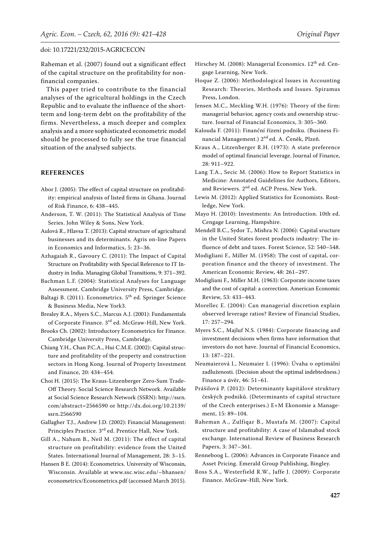Raheman et al. (2007) found out a significant effect of the capital structure on the profitability for nonfinancial companies.

This paper tried to contribute to the financial analyses of the agricultural holdings in the Czech Republic and to evaluate the influence of the shortterm and long-term debt on the profitability of the firms. Nevertheless, a much deeper and complex analysis and a more sophisticated econometric model should be processed to fully see the true financial situation of the analysed subjects.

## **REFERENCES**

- Abor J. (2005): The effect of capital structure on profitability: empirical analysis of listed firms in Ghana. Journal of Risk Finance, 6: 438–445.
- Anderson, T. W. (2011): The Statistical Analysis of Time Series. John Wiley & Sons, New York.
- Aulová R., Hlavsa T. (2013): Capital structure of agricultural businesses and its determinants. Agris on-line Papers in Economics and Informatics, 5: 23–36.
- Azhagaiah R., Gavoury C. (2011): The Impact of Capital Structure on Profitability with Special Reference to IT Industry in India. Managing Global Transitions, 9: 371–392.

Bachman L.F. (2004): Statistical Analyses for Language Assessment. Cambridge University Press, Cambridge.

- Baltagi B. (2011). Econometrics. 5<sup>th</sup> ed. Springer Science & Business Media, New York3.
- Brealey R.A., Myers S.C., Marcus A.J. (2001): Fundamentals of Corporate Finance. 3<sup>rd</sup> ed. McGraw-Hill, New York.
- Brooks Ch. (2002): Introductory Econometrics for Finance. Cambridge University Press, Cambridge.
- Chiang Y.H., Chan P.C.A., Hui C.M.E. (2002): Capital structure and profitability of the property and construction sectors in Hong Kong. Journal of Property Investment and Finance, 20: 434–454.

Choi H. (2015): The Kraus-Litzenberger Zero-Sum Trade-Off Theory. Social Science Research Network. Available at Social Science Research Network (SSRN): http://ssrn. com/abstract=2566590 or http://dx.doi.org/10.2139/ ssrn.2566590

Gallagher T.J., Andrew J.D. (2002): Financial Management: Principles Practice. 3<sup>rd</sup> ed. Prentice Hall, New York.

Gill A., Nahum B., Neil M. (2011): The effect of capital structure on profitability: evidence from the United States. International Journal of Management, 28: 3–15.

Hansen B E. (2014): Econometrics. University of Wisconsin, Wisconsin. Available at www.ssc.wisc.edu/~bhansen/ econometrics/Econometrics.pdf (accessed March 2015).

- Hirschey M. (2008): Managerial Economics. 12<sup>th</sup> ed. Cengage Learning, New York.
- Hoque Z. (2006): Methodological Issues in Accounting Research: Theories, Methods and Issues. Spiramus Press, London.
- Jensen M.C., Meckling W.H. (1976): Theory of the firm: managerial behavior, agency costs and ownership structure. Journal of Financial Economics, 3: 305–360.
- Kalouda F. (2011): Finanční řízení podniku. (Business Financial Management.) 2<sup>nd</sup> ed. A. Čeněk, Plzeň.
- Kraus A., Litzenberger R.H. (1973): A state preference model of optimal financial leverage. Journal of Finance, 28: 911–922.
- Lang T.A., Secic M. (2006): How to Report Statistics in Medicine: Annotated Guidelines for Authors, Editors, and Reviewers. 2nd ed. ACP Press, New York.
- Lewis M. (2012): Applied Statistics for Economists. Routledge, New York.
- Mayo H. (2010): Investments: An Introduction. 10th ed. Cengage Learning, Hampshire.
- Mendell B.C., Sydor T., Mishra N. (2006): Capital sructure in the United States forest products industry: The influence of debt and taxes. Forest Science, 52: 540–548.
- Modigliani F., Miller M. (1958): The cost of capital, corporation finance and the theory of investment. The American Economic Review, 48: 261–297.
- Modigliani F., Miller M.H. (1963): Corporate income taxes and the cost of capital: a correction. American Economic Review, 53: 433–443.
- Morellec E. (2004): Can managerial discretion explain observed leverage ratios? Review of Financial Studies, 17: 257–294.
- Myers S.C., Majluf N.S. (1984): Corporate financing and investment decisions when firms have information that investors do not have. Journal of Financial Economics, 13: 187–221.
- Neumaierová I., Neumaier I. (1996): Úvaha o optimální zadluženosti. (Decision about the optimal indebtedness.) Finance a úvěr, 46: 51–61.
- Prášilová P. (2012): Determinanty kapitálové struktury českých podniků. (Determinants of capital structure of the Czech enterprises.) E+M Ekonomie a Management, 15: 89–104.
- Raheman A., Zulfiqar B., Mustafa M. (2007): Capital structure and profitability: A case of Islamabad stock exchange. International Review of Business Research Papers, 3: 347–361.
- Renneboog L. (2006): Advances in Corporate Finance and Asset Pricing. Emerald Group Publishing, Bingley.
- Ross S.A., Westerfield R.W., Jaffe J. (2009): Corporate Finance. McGraw-Hill, New York.